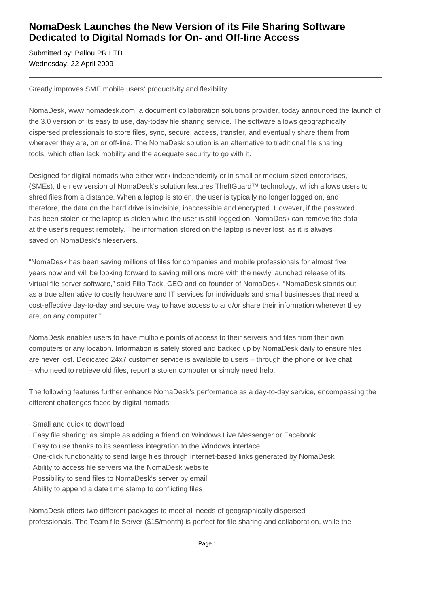## **NomaDesk Launches the New Version of its File Sharing Software Dedicated to Digital Nomads for On- and Off-line Access**

Submitted by: Ballou PR LTD Wednesday, 22 April 2009

Greatly improves SME mobile users' productivity and flexibility

NomaDesk, www.nomadesk.com, a document collaboration solutions provider, today announced the launch of the 3.0 version of its easy to use, day-today file sharing service. The software allows geographically dispersed professionals to store files, sync, secure, access, transfer, and eventually share them from wherever they are, on or off-line. The NomaDesk solution is an alternative to traditional file sharing tools, which often lack mobility and the adequate security to go with it.

Designed for digital nomads who either work independently or in small or medium-sized enterprises, (SMEs), the new version of NomaDesk's solution features TheftGuard™ technology, which allows users to shred files from a distance. When a laptop is stolen, the user is typically no longer logged on, and therefore, the data on the hard drive is invisible, inaccessible and encrypted. However, if the password has been stolen or the laptop is stolen while the user is still logged on, NomaDesk can remove the data at the user's request remotely. The information stored on the laptop is never lost, as it is always saved on NomaDesk's fileservers.

"NomaDesk has been saving millions of files for companies and mobile professionals for almost five years now and will be looking forward to saving millions more with the newly launched release of its virtual file server software," said Filip Tack, CEO and co-founder of NomaDesk. "NomaDesk stands out as a true alternative to costly hardware and IT services for individuals and small businesses that need a cost-effective day-to-day and secure way to have access to and/or share their information wherever they are, on any computer."

NomaDesk enables users to have multiple points of access to their servers and files from their own computers or any location. Information is safely stored and backed up by NomaDesk daily to ensure files are never lost. Dedicated 24x7 customer service is available to users – through the phone or live chat – who need to retrieve old files, report a stolen computer or simply need help.

The following features further enhance NomaDesk's performance as a day-to-day service, encompassing the different challenges faced by digital nomads:

- · Small and quick to download
- · Easy file sharing: as simple as adding a friend on Windows Live Messenger or Facebook
- · Easy to use thanks to its seamless integration to the Windows interface
- · One-click functionality to send large files through Internet-based links generated by NomaDesk
- · Ability to access file servers via the NomaDesk website
- · Possibility to send files to NomaDesk's server by email
- · Ability to append a date time stamp to conflicting files

NomaDesk offers two different packages to meet all needs of geographically dispersed professionals. The Team file Server (\$15/month) is perfect for file sharing and collaboration, while the